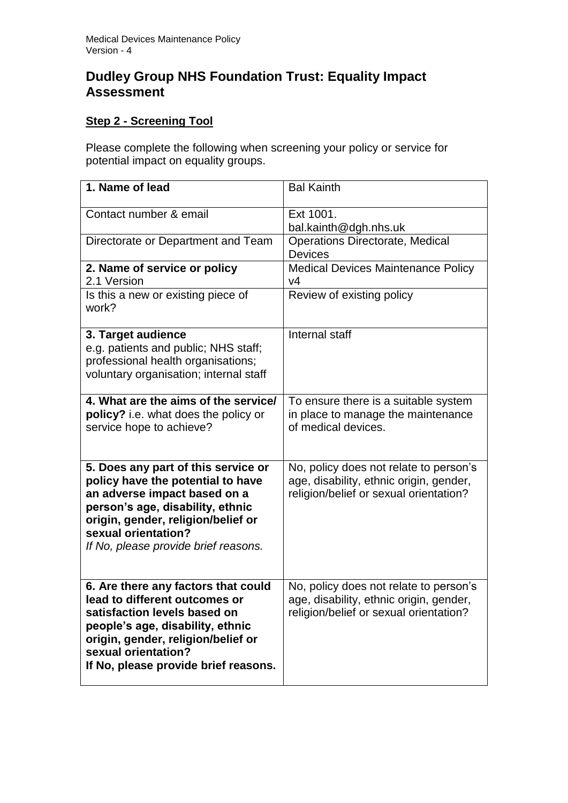## **Dudley Group NHS Foundation Trust: Equality Impact Assessment**

## **Step 2 - Screening Tool**

Please complete the following when screening your policy or service for potential impact on equality groups.

| 1. Name of lead                                                                                                                                                                                                                                   | <b>Bal Kainth</b>                                                                                                           |
|---------------------------------------------------------------------------------------------------------------------------------------------------------------------------------------------------------------------------------------------------|-----------------------------------------------------------------------------------------------------------------------------|
| Contact number & email                                                                                                                                                                                                                            | Ext 1001.<br>bal.kainth@dgh.nhs.uk                                                                                          |
| Directorate or Department and Team                                                                                                                                                                                                                | <b>Operations Directorate, Medical</b><br><b>Devices</b>                                                                    |
| 2. Name of service or policy<br>2.1 Version                                                                                                                                                                                                       | <b>Medical Devices Maintenance Policy</b><br>V <sub>4</sub>                                                                 |
| Is this a new or existing piece of<br>work?                                                                                                                                                                                                       | Review of existing policy                                                                                                   |
| 3. Target audience<br>e.g. patients and public; NHS staff;<br>professional health organisations;<br>voluntary organisation; internal staff                                                                                                        | Internal staff                                                                                                              |
| 4. What are the aims of the service/<br>policy? i.e. what does the policy or<br>service hope to achieve?                                                                                                                                          | To ensure there is a suitable system<br>in place to manage the maintenance<br>of medical devices.                           |
| 5. Does any part of this service or<br>policy have the potential to have<br>an adverse impact based on a<br>person's age, disability, ethnic<br>origin, gender, religion/belief or<br>sexual orientation?<br>If No, please provide brief reasons. | No, policy does not relate to person's<br>age, disability, ethnic origin, gender,<br>religion/belief or sexual orientation? |
| 6. Are there any factors that could<br>lead to different outcomes or<br>satisfaction levels based on<br>people's age, disability, ethnic<br>origin, gender, religion/belief or<br>sexual orientation?<br>If No, please provide brief reasons.     | No, policy does not relate to person's<br>age, disability, ethnic origin, gender,<br>religion/belief or sexual orientation? |